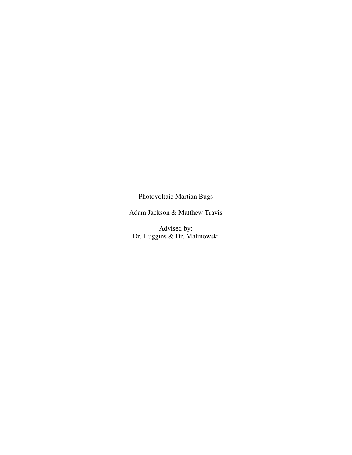Photovoltaic Martian Bugs

Adam Jackson & Matthew Travis

Advised by: Dr. Huggins & Dr. Malinowski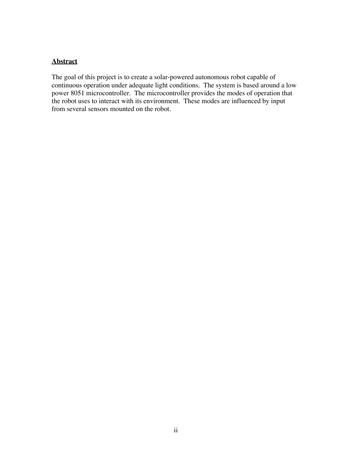## **Abstract**

The goal of this project is to create a solar-powered autonomous robot capable of continuous operation under adequate light conditions. The system is based around a low power 8051 microcontroller. The microcontroller provides the modes of operation that the robot uses to interact with its environment. These modes are influenced by input from several sensors mounted on the robot.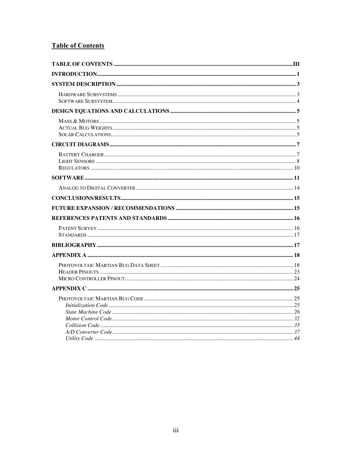## **Table of Contents**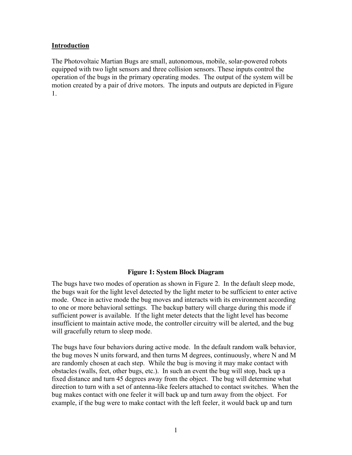## Introduction

The Photovoltaic Martian Bugs are small, autonomous, mobile, solar-powered robots equipped with two light sensors and three collision sensors. These inputs control the operation of the bugs in the primary operating modes. The output of the system will be motion created by a pair of drive motors. The inputs and outputs are depicted in Figure 1.

## **Figure 1: System Block Diagram**

The bugs have two modes of operation as shown in Figure 2. In the default sleep mode, the bugs wait for the light level detected by the light meter to be sufficient to enter active mode. Once in active mode the bug moves and interacts with its environment according to one or more behavioral settings. The backup battery will charge during this mode if sufficient power is available. If the light meter detects that the light level has become insufficient to maintain active mode, the controller circuitry will be alerted, and the bug will gracefully return to sleep mode.

The bugs have four behaviors during active mode. In the default random walk behavior, the bug moves N units forward, and then turns M degrees, continuously, where N and M are randomly chosen at each step. While the bug is moving it may make contact with obstacles (walls, feet, other bugs, etc.). In such an event the bug will stop, back up a fixed distance and turn 45 degrees away from the object. The bug will determine what direction to turn with a set of antenna-like feelers attached to contact switches. When the bug makes contact with one feeler it will back up and turn away from the object. For example, if the bug were to make contact with the left feeler, it would back up and turn